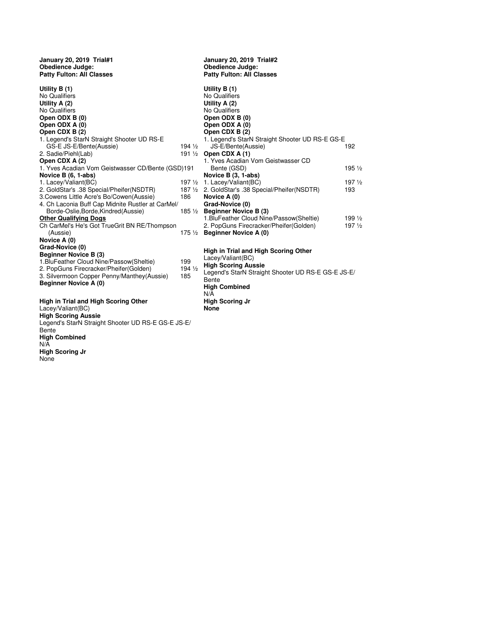| January 20, 2019 Trial#1<br><b>Obedience Judge:</b><br><b>Patty Fulton: All Classes</b> |                                                                                                      | January 20, 2019 Trial#2<br><b>Obedience Judge:</b><br><b>Patty Fulton: All Classes</b> |                  |  |
|-----------------------------------------------------------------------------------------|------------------------------------------------------------------------------------------------------|-----------------------------------------------------------------------------------------|------------------|--|
| Utility B (1)<br>No Qualifiers<br>Utility A $(2)$                                       |                                                                                                      | Utility $B(1)$<br>No Qualifiers<br>Utility $A(2)$                                       |                  |  |
| No Qualifiers                                                                           |                                                                                                      | No Qualifiers                                                                           |                  |  |
| Open ODX B (0)                                                                          |                                                                                                      | Open ODX B (0)                                                                          |                  |  |
| Open ODX A (0)                                                                          |                                                                                                      | Open ODX A (0)                                                                          |                  |  |
| Open CDX B (2)                                                                          |                                                                                                      | Open CDX B (2)                                                                          |                  |  |
| 1. Legend's StarN Straight Shooter UD RS-E                                              |                                                                                                      | 1. Legend's StarN Straight Shooter UD RS-E GS-E                                         |                  |  |
| GS-E JS-E/Bente(Aussie)                                                                 | $194\frac{1}{2}$                                                                                     | JS-E/Bente(Aussie)                                                                      | 192              |  |
| 2. Sadie/Piehl(Lab)                                                                     |                                                                                                      | 191 $\frac{1}{2}$ Open CDX A (1)                                                        |                  |  |
| Open CDX A (2)<br>1. Yves Acadian Vom Geistwasser CD/Bente (GSD)191                     | 1. Yves Acadian Vom Geistwasser CD<br>Bente (GSD)                                                    | 195 1/2                                                                                 |                  |  |
| Novice B (6, 1-abs)                                                                     | Novice B (3, 1-abs)                                                                                  |                                                                                         |                  |  |
| 1. Lacey/Valiant(BC)                                                                    | $197\frac{1}{2}$                                                                                     | 1. Lacey/Valiant(BC)                                                                    | $197\frac{1}{2}$ |  |
| 2. GoldStar's .38 Special/Pheifer(NSDTR)                                                |                                                                                                      | 187 1/2 2. GoldStar's .38 Special/Pheifer(NSDTR)                                        | 193              |  |
| 3. Cowens Little Acre's Bo/Cowen (Aussie)                                               | 186                                                                                                  | Novice A (0)                                                                            |                  |  |
| 4. Ch Laconia Buff Cap Midnite Rustler at CarMel/                                       |                                                                                                      | Grad-Novice (0)                                                                         |                  |  |
| Borde-Oslie, Borde, Kindred (Aussie)                                                    |                                                                                                      | 185 $\frac{1}{2}$ Beginner Novice B (3)                                                 |                  |  |
| <b>Other Qualifying Dogs</b>                                                            |                                                                                                      | 1. BluFeather Cloud Nine/Passow(Sheltie)                                                | 199 1/2          |  |
| Ch CarMel's He's Got TrueGrit BN RE/Thompson                                            |                                                                                                      | 2. PopGuns Firecracker/Pheifer(Golden)                                                  | $197\frac{1}{2}$ |  |
| (Aussie)                                                                                |                                                                                                      | 175 $\frac{1}{2}$ Beginner Novice A (0)                                                 |                  |  |
| Novice A (0)                                                                            |                                                                                                      |                                                                                         |                  |  |
| Grad-Novice (0)                                                                         |                                                                                                      |                                                                                         |                  |  |
| <b>Beginner Novice B (3)</b>                                                            |                                                                                                      | High in Trial and High Scoring Other                                                    |                  |  |
| 1. BluFeather Cloud Nine/Passow(Sheltie)                                                | 199                                                                                                  | Lacey/Valiant(BC)                                                                       |                  |  |
| 2. PopGuns Firecracker/Pheifer(Golden)                                                  | <b>High Scoring Aussie</b><br>$194\frac{1}{2}$<br>Legend's StarN Straight Shooter UD RS-E GS-E JS-E/ |                                                                                         |                  |  |
| 3. Silvermoon Copper Penny/Manthey(Aussie)                                              | 185                                                                                                  | Bente                                                                                   |                  |  |
| <b>Beginner Novice A (0)</b>                                                            |                                                                                                      | <b>High Combined</b>                                                                    |                  |  |
|                                                                                         |                                                                                                      | N/A                                                                                     |                  |  |
| High in Trial and High Scoring Other                                                    |                                                                                                      | <b>High Scoring Jr</b>                                                                  |                  |  |
| Lacey/Valiant(BC)                                                                       |                                                                                                      | <b>None</b>                                                                             |                  |  |
| <b>High Scoring Aussie</b>                                                              |                                                                                                      |                                                                                         |                  |  |
| Legend's StarN Straight Shooter UD RS-E GS-E JS-E/                                      |                                                                                                      |                                                                                         |                  |  |
| Bente                                                                                   |                                                                                                      |                                                                                         |                  |  |
| <b>High Combined</b>                                                                    |                                                                                                      |                                                                                         |                  |  |
| N/A                                                                                     |                                                                                                      |                                                                                         |                  |  |
| <b>High Scoring Jr</b>                                                                  |                                                                                                      |                                                                                         |                  |  |
| None                                                                                    |                                                                                                      |                                                                                         |                  |  |